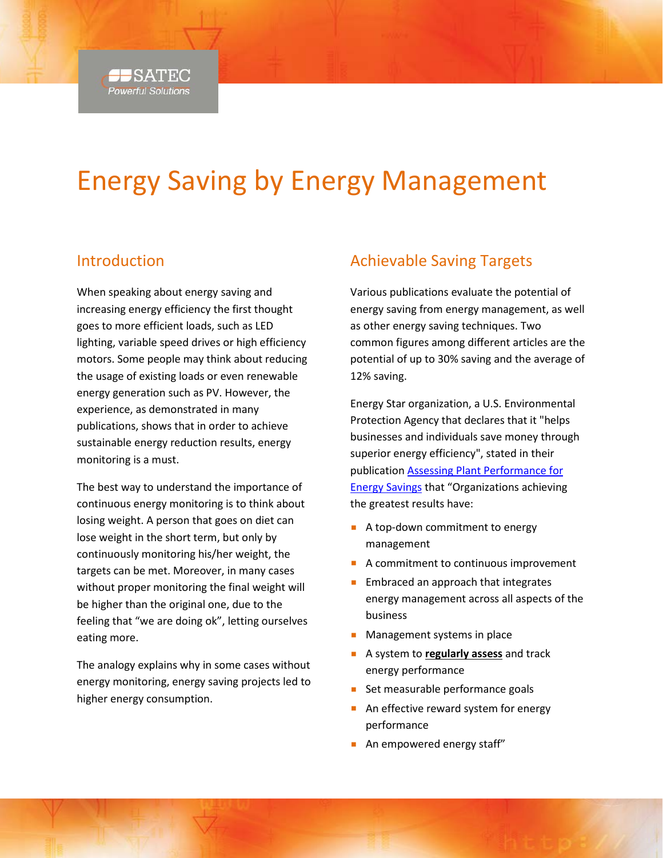

# Energy Saving by Energy Management

## Introduction

When speaking about energy saving and increasing energy efficiency the first thought goes to more efficient loads, such as LED lighting, variable speed drives or high efficiency motors. Some people may think about reducing the usage of existing loads or even renewable energy generation such as PV. However, the experience, as demonstrated in many publications, shows that in order to achieve sustainable energy reduction results, energy monitoring is a must.

The best way to understand the importance of continuous energy monitoring is to think about losing weight. A person that goes on diet can lose weight in the short term, but only by continuously monitoring his/her weight, the targets can be met. Moreover, in many cases without proper monitoring the final weight will be higher than the original one, due to the feeling that "we are doing ok", letting ourselves eating more.

The analogy explains why in some cases without energy monitoring, energy saving projects led to higher energy consumption.

# Achievable Saving Targets

Various publications evaluate the potential of energy saving from energy management, as well as other energy saving techniques. Two common figures among different articles are the potential of up to 30% saving and the average of 12% saving.

Energy Star organization, a U.S. Environmental Protection Agency that declares that it "helps businesses and individuals save money through superior energy efficiency", stated in their publication [Assessing Plant Performance for](https://www.energystar.gov/sites/default/files/buildings/tools/Updated%20plant%20assessment%20slides,%207-16-13.ppt)  [Energy Savings](https://www.energystar.gov/sites/default/files/buildings/tools/Updated%20plant%20assessment%20slides,%207-16-13.ppt) that "Organizations achieving the greatest results have:

- A top-down commitment to energy management
- A commitment to continuous improvement
- **Embraced an approach that integrates** energy management across all aspects of the business
- Management systems in place
- A system to **regularly assess** and track energy performance
- Set measurable performance goals
- An effective reward system for energy performance
- An empowered energy staff"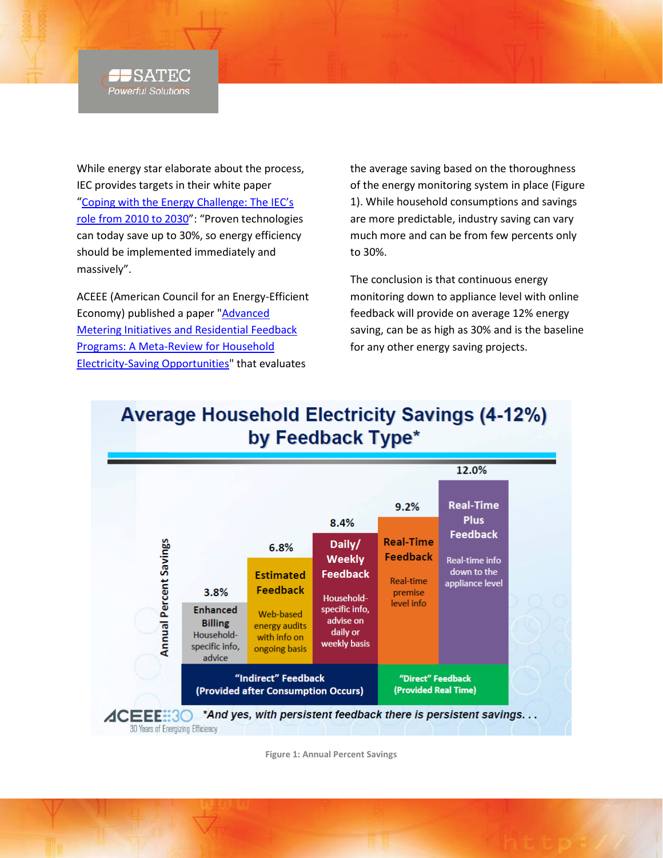#### $\blacksquare$  SATEC **Powerful Solutions**

While energy star elaborate about the process, IEC provides targets in their white paper ["Coping with the Energy Challenge: The IEC's](http://www.iec.ch/smartenergy/pdf/white_paper_lres.pdf)  [role from 2010 to 2030"](http://www.iec.ch/smartenergy/pdf/white_paper_lres.pdf): "Proven technologies can today save up to 30%, so energy efficiency should be implemented immediately and massively".

ACEEE (American Council for an Energy-Efficient Economy) published a paper ["Advanced](http://aceee.org/files/pdf/SKP-KEM-Energy-Feedback-Perspectives-Sep-14-2010.pdf)  [Metering Initiatives and Residential Feedback](http://aceee.org/files/pdf/SKP-KEM-Energy-Feedback-Perspectives-Sep-14-2010.pdf)  [Programs: A Meta-Review for Household](http://aceee.org/files/pdf/SKP-KEM-Energy-Feedback-Perspectives-Sep-14-2010.pdf)  [Electricity-Saving Opportunities"](http://aceee.org/files/pdf/SKP-KEM-Energy-Feedback-Perspectives-Sep-14-2010.pdf) that evaluates

the average saving based on the thoroughness of the energy monitoring system in place [\(Figure](#page-1-0)  [1\)](#page-1-0). While household consumptions and savings are more predictable, industry saving can vary much more and can be from few percents only to 30%.

The conclusion is that continuous energy monitoring down to appliance level with online feedback will provide on average 12% energy saving, can be as high as 30% and is the baseline for any other energy saving projects.



**Average Household Electricity Savings (4-12%)** by Feedback Type\*

<span id="page-1-0"></span>**Figure 1: Annual Percent Savings**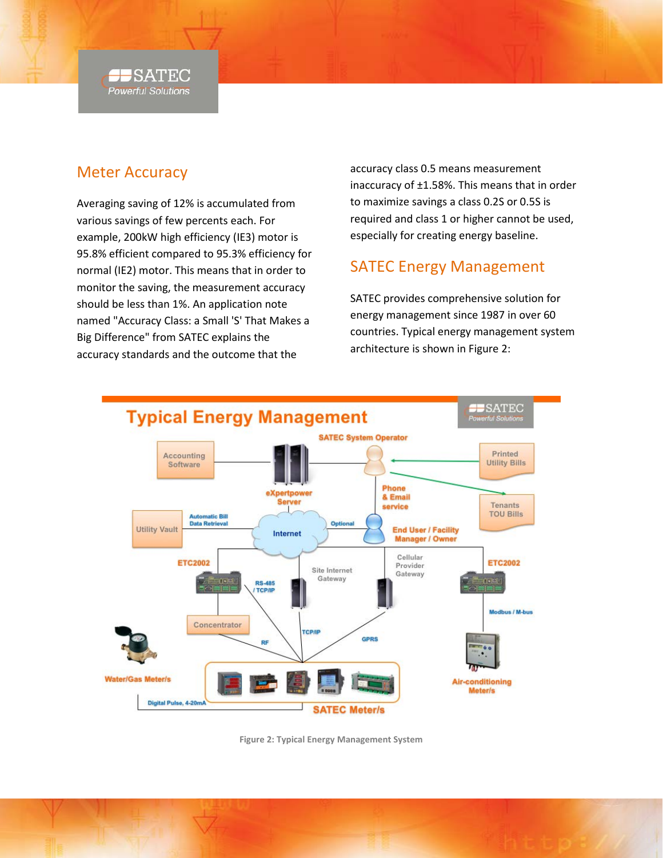

## Meter Accuracy

Averaging saving of 12% is accumulated from various savings of few percents each. For example, 200kW high efficiency (IE3) motor is 95.8% efficient compared to 95.3% efficiency for normal (IE2) motor. This means that in order to monitor the saving, the measurement accuracy should be less than 1%. An application note named "Accuracy Class: a Small 'S' That Makes a Big Difference" from SATEC explains the accuracy standards and the outcome that the

accuracy class 0.5 means measurement inaccuracy of ±1.58%. This means that in order to maximize savings a class 0.2S or 0.5S is required and class 1 or higher cannot be used, especially for creating energy baseline.

# SATEC Energy Management

SATEC provides comprehensive solution for energy management since 1987 in over 60 countries. Typical energy management system architecture is shown in [Figure 2:](#page-2-0)



<span id="page-2-0"></span>**Figure 2: Typical Energy Management System**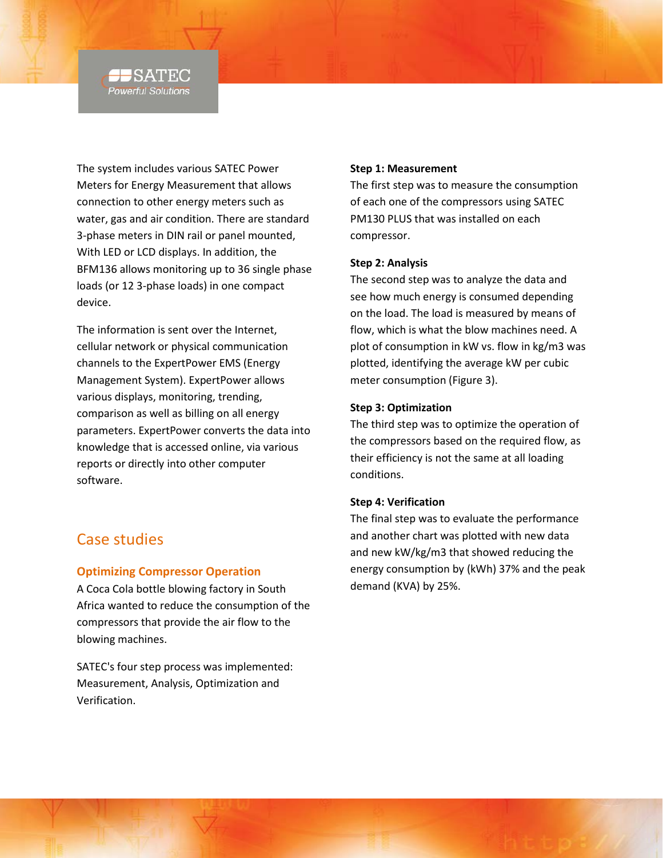#### SATEC **Powerful Solutions**

The system includes various SATEC Power Meters for Energy Measurement that allows connection to other energy meters such as water, gas and air condition. There are standard 3-phase meters in DIN rail or panel mounted, With LED or LCD displays. In addition, the BFM136 allows monitoring up to 36 single phase loads (or 12 3-phase loads) in one compact device.

The information is sent over the Internet, cellular network or physical communication channels to the ExpertPower EMS (Energy Management System). ExpertPower allows various displays, monitoring, trending, comparison as well as billing on all energy parameters. ExpertPower converts the data into knowledge that is accessed online, via various reports or directly into other computer software.

### Case studies

#### **Optimizing Compressor Operation**

A Coca Cola bottle blowing factory in South Africa wanted to reduce the consumption of the compressors that provide the air flow to the blowing machines.

SATEC's four step process was implemented: Measurement, Analysis, Optimization and Verification.

#### **Step 1: Measurement**

The first step was to measure the consumption of each one of the compressors using SATEC PM130 PLUS that was installed on each compressor.

#### **Step 2: Analysis**

The second step was to analyze the data and see how much energy is consumed depending on the load. The load is measured by means of flow, which is what the blow machines need. A plot of consumption in kW vs. flow in kg/m3 was plotted, identifying the average kW per cubic meter consumption [\(Figure 3\)](#page-4-0).

#### **Step 3: Optimization**

The third step was to optimize the operation of the compressors based on the required flow, as their efficiency is not the same at all loading conditions.

#### **Step 4: Verification**

The final step was to evaluate the performance and another chart was plotted with new data and new kW/kg/m3 that showed reducing the energy consumption by (kWh) 37% and the peak demand (KVA) by 25%.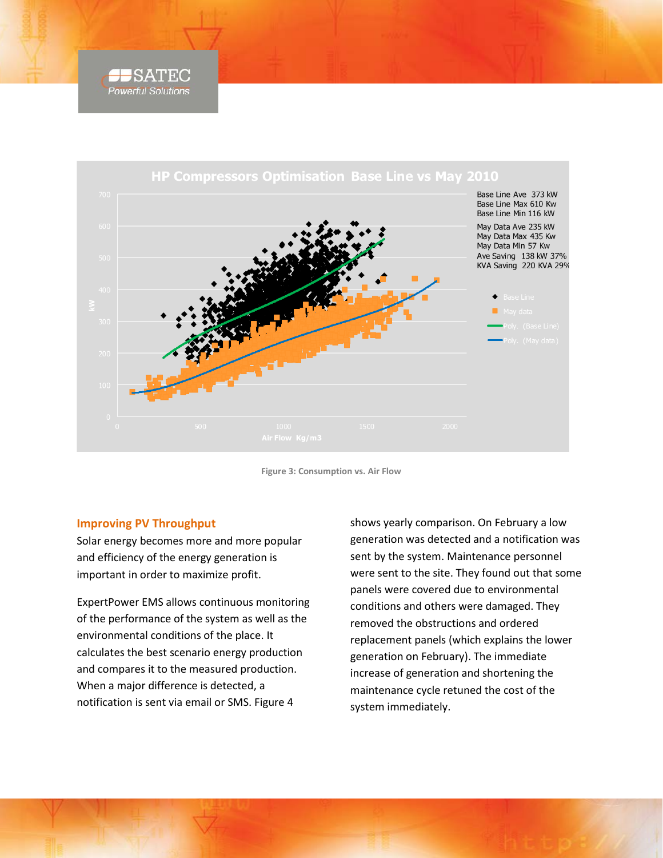



**Figure 3: Consumption vs. Air Flow**

#### <span id="page-4-0"></span>**Improving PV Throughput**

Solar energy becomes more and more popular and efficiency of the energy generation is important in order to maximize profit.

ExpertPower EMS allows continuous monitoring of the performance of the system as well as the environmental conditions of the place. It calculates the best scenario energy production and compares it to the measured production. When a major difference is detected, a notification is sent via email or SMS. [Figure 4](#page-5-0)

shows yearly comparison. On February a low generation was detected and a notification was sent by the system. Maintenance personnel were sent to the site. They found out that some panels were covered due to environmental conditions and others were damaged. They removed the obstructions and ordered replacement panels (which explains the lower generation on February). The immediate increase of generation and shortening the maintenance cycle retuned the cost of the system immediately.